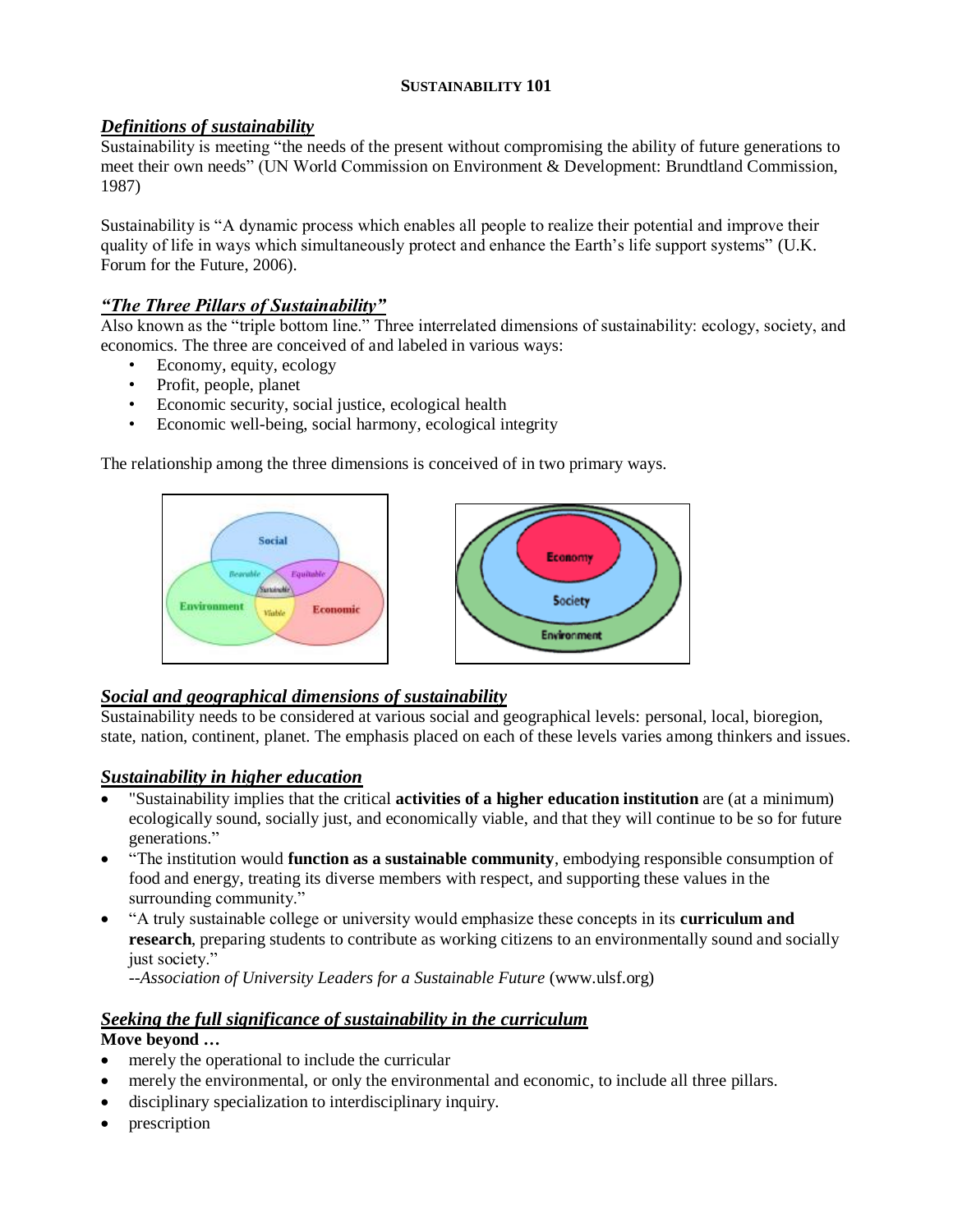## **SUSTAINABILITY 101**

# *Definitions of sustainability*

Sustainability is meeting "the needs of the present without compromising the ability of future generations to meet their own needs" (UN World Commission on Environment & Development: Brundtland Commission, 1987)

Sustainability is "A dynamic process which enables all people to realize their potential and improve their quality of life in ways which simultaneously protect and enhance the Earth's life support systems" (U.K. Forum for the Future, 2006).

# *"The Three Pillars of Sustainability"*

Also known as the "triple bottom line." Three interrelated dimensions of sustainability: ecology, society, and economics. The three are conceived of and labeled in various ways:

- Economy, equity, ecology
- Profit, people, planet
- Economic security, social justice, ecological health
- Economic well-being, social harmony, ecological integrity

The relationship among the three dimensions is conceived of in two primary ways.



# *Social and geographical dimensions of sustainability*

Sustainability needs to be considered at various social and geographical levels: personal, local, bioregion, state, nation, continent, planet. The emphasis placed on each of these levels varies among thinkers and issues.

# *Sustainability in higher education*

- "Sustainability implies that the critical **activities of a higher education institution** are (at a minimum) ecologically sound, socially just, and economically viable, and that they will continue to be so for future generations."
- "The institution would **function as a sustainable community**, embodying responsible consumption of food and energy, treating its diverse members with respect, and supporting these values in the surrounding community."
- "A truly sustainable college or university would emphasize these concepts in its **curriculum and research**, preparing students to contribute as working citizens to an environmentally sound and socially just society."

--*Association of University Leaders for a Sustainable Future* (www.ulsf.org)

# *Seeking the full significance of sustainability in the curriculum*

# **Move beyond …**

- merely the operational to include the curricular
- merely the environmental, or only the environmental and economic, to include all three pillars.
- disciplinary specialization to interdisciplinary inquiry.
- prescription